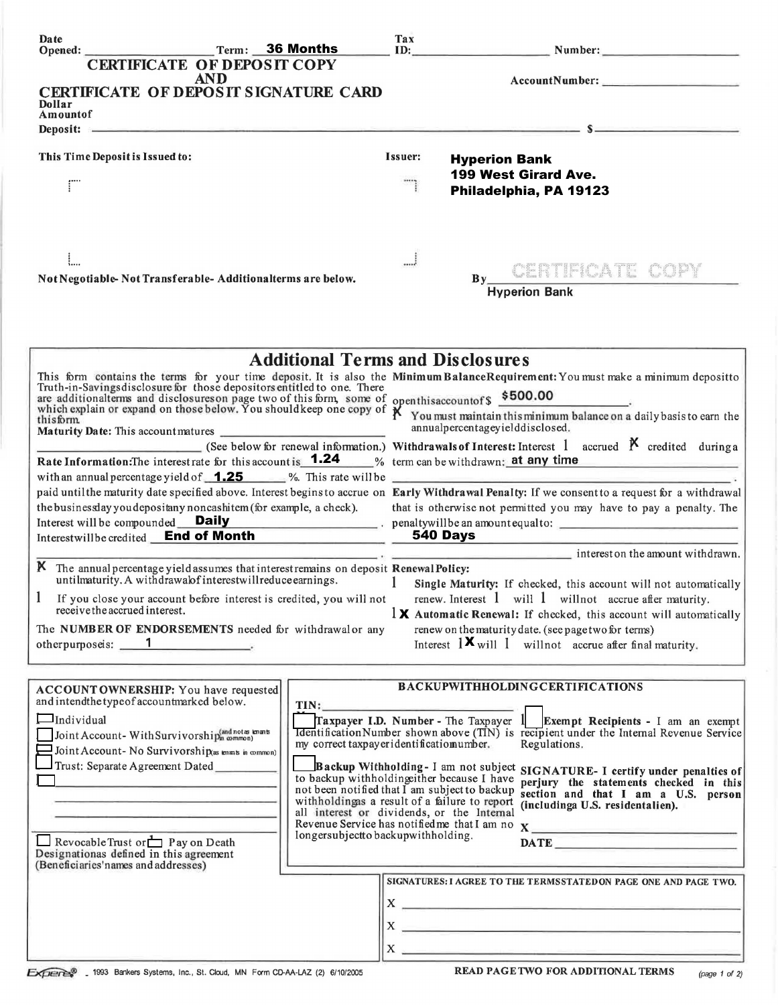| Date                                                                                                                         | Term: 36 Months                                                                             | Tax                                                                                                                                                                                                                                  | ID: Number: Number:                                                                                                                                                                                                                  |
|------------------------------------------------------------------------------------------------------------------------------|---------------------------------------------------------------------------------------------|--------------------------------------------------------------------------------------------------------------------------------------------------------------------------------------------------------------------------------------|--------------------------------------------------------------------------------------------------------------------------------------------------------------------------------------------------------------------------------------|
| <b>CERTIFICATE OF DEPOSIT COPY</b>                                                                                           |                                                                                             |                                                                                                                                                                                                                                      |                                                                                                                                                                                                                                      |
| <b>AND</b>                                                                                                                   |                                                                                             |                                                                                                                                                                                                                                      |                                                                                                                                                                                                                                      |
| CERTIFICATE OF DEPOSIT SIGNATURE CARD<br>Dollar                                                                              |                                                                                             |                                                                                                                                                                                                                                      |                                                                                                                                                                                                                                      |
| Amountof                                                                                                                     |                                                                                             |                                                                                                                                                                                                                                      |                                                                                                                                                                                                                                      |
|                                                                                                                              |                                                                                             |                                                                                                                                                                                                                                      | Deposit: $s = s$                                                                                                                                                                                                                     |
| This Time Deposit is Issued to:                                                                                              |                                                                                             | Issuer:                                                                                                                                                                                                                              | <b>Hyperion Bank</b>                                                                                                                                                                                                                 |
|                                                                                                                              |                                                                                             |                                                                                                                                                                                                                                      | 199 West Girard Ave.                                                                                                                                                                                                                 |
| ΓÏ                                                                                                                           |                                                                                             |                                                                                                                                                                                                                                      | Philadelphia, PA 19123                                                                                                                                                                                                               |
|                                                                                                                              |                                                                                             |                                                                                                                                                                                                                                      |                                                                                                                                                                                                                                      |
|                                                                                                                              |                                                                                             |                                                                                                                                                                                                                                      |                                                                                                                                                                                                                                      |
|                                                                                                                              |                                                                                             |                                                                                                                                                                                                                                      |                                                                                                                                                                                                                                      |
|                                                                                                                              |                                                                                             |                                                                                                                                                                                                                                      | By CERTIFICATE COPY                                                                                                                                                                                                                  |
| Not Negotiable-Not Transferable-Additionalterms are below.                                                                   |                                                                                             |                                                                                                                                                                                                                                      |                                                                                                                                                                                                                                      |
|                                                                                                                              |                                                                                             |                                                                                                                                                                                                                                      | <b>Hyperion Bank</b>                                                                                                                                                                                                                 |
|                                                                                                                              |                                                                                             |                                                                                                                                                                                                                                      |                                                                                                                                                                                                                                      |
|                                                                                                                              |                                                                                             |                                                                                                                                                                                                                                      |                                                                                                                                                                                                                                      |
|                                                                                                                              | <b>Additional Terms and Disclosures</b>                                                     |                                                                                                                                                                                                                                      |                                                                                                                                                                                                                                      |
|                                                                                                                              |                                                                                             |                                                                                                                                                                                                                                      |                                                                                                                                                                                                                                      |
|                                                                                                                              |                                                                                             |                                                                                                                                                                                                                                      | This form contains the terms for your time deposit. It is also the Minimum BalanceRequirement: You must make a minimum depositto Truth-in-Savings disclosure for those depositors entitled to one. There                             |
|                                                                                                                              |                                                                                             | and disclosure for the second theory of this form, some of openthis account of \$500.00<br>which explain or expand on those below. You should keep one copy of $\chi$ You must maintain this minimum balance on a daily basis to ear |                                                                                                                                                                                                                                      |
| thisform                                                                                                                     |                                                                                             |                                                                                                                                                                                                                                      | annualpercentageyielddisclosed.                                                                                                                                                                                                      |
|                                                                                                                              |                                                                                             |                                                                                                                                                                                                                                      | (See below for renewal information.) Withdrawals of Interest: Interest 1 accrued $\beta$ credited during a                                                                                                                           |
| Rate Information: The interestrate for this account is <b>1.24</b> % term can be withdrawn; at any time                      |                                                                                             |                                                                                                                                                                                                                                      |                                                                                                                                                                                                                                      |
|                                                                                                                              |                                                                                             |                                                                                                                                                                                                                                      | with an annual percentage yield of $\sqrt{1.25}$ %. This rate will be                                                                                                                                                                |
|                                                                                                                              |                                                                                             |                                                                                                                                                                                                                                      | paid until the maturity date specified above. Interest begins to accrue on Early Withdrawal Penalty: If we consent to a request for a withdrawal                                                                                     |
| the businessday you depositany noncashitem (for example, a check).                                                           |                                                                                             |                                                                                                                                                                                                                                      | that is otherwise not permitted you may have to pay a penalty. The                                                                                                                                                                   |
| Interest will be compounded <b>Daily</b> penaltywill be an amount equal to:<br>Interestwillbe credited End of Month 540 Days |                                                                                             |                                                                                                                                                                                                                                      |                                                                                                                                                                                                                                      |
|                                                                                                                              |                                                                                             |                                                                                                                                                                                                                                      | $\frac{1}{2}$ interest on the amount withdrawn.                                                                                                                                                                                      |
| K The annual percentage yield assumes that interest remains on deposit Renewal Policy:                                       |                                                                                             |                                                                                                                                                                                                                                      |                                                                                                                                                                                                                                      |
| untilmaturity. A withdrawalof interestwillreduce earnings.                                                                   |                                                                                             | $\mathbf{1}$                                                                                                                                                                                                                         | Single Maturity: If checked, this account will not automatically                                                                                                                                                                     |
| If you close your account before interest is credited, you will not<br>receive the accrued interest.                         |                                                                                             |                                                                                                                                                                                                                                      | renew. Interest 1 will 1 will not accrue after maturity.<br>$\frac{1}{2}$ Automatic Renewal: If checked, this account will automatically                                                                                             |
| The NUMBER OF ENDORSEMENTS needed for withdrawal or any                                                                      |                                                                                             |                                                                                                                                                                                                                                      | renew on the maturity date. (see page two for terms)                                                                                                                                                                                 |
| otherpurposeis: 1                                                                                                            |                                                                                             |                                                                                                                                                                                                                                      | Interest $1 \times$ will 1 will not accrue after final maturity.                                                                                                                                                                     |
|                                                                                                                              |                                                                                             |                                                                                                                                                                                                                                      |                                                                                                                                                                                                                                      |
|                                                                                                                              |                                                                                             |                                                                                                                                                                                                                                      | <b>BACKUPWITHHOLDINGCERTIFICATIONS</b>                                                                                                                                                                                               |
| ACCOUNT OWNERSHIP: You have requested<br>and intendthe type of accountmarked below.                                          | TIN:                                                                                        |                                                                                                                                                                                                                                      |                                                                                                                                                                                                                                      |
| $\Box$ Individual                                                                                                            |                                                                                             |                                                                                                                                                                                                                                      | Traxpayer I.D. Number - The Taxpayer $1$ Exempt Recipients - I am an exempt                                                                                                                                                          |
| Joint Account-With Survivorship(and notes knants                                                                             |                                                                                             |                                                                                                                                                                                                                                      | <b>Identification Number shown above (TIN)</b> is recipient under the Internal Revenue Service                                                                                                                                       |
| Joint Account- No Survivorship(as tenants in common)                                                                         | my correct taxpayer identificatiomumber.                                                    |                                                                                                                                                                                                                                      | Regulations.                                                                                                                                                                                                                         |
| Trust: Separate Agreement Dated                                                                                              |                                                                                             |                                                                                                                                                                                                                                      | Backup Withholding-I am not subject SIGNATURE-I certify under penalties of                                                                                                                                                           |
|                                                                                                                              | to backup withholding ther because I have<br>not been notified that I am subject to backup  |                                                                                                                                                                                                                                      | perjury the statements checked in this<br>section and that I am a U.S. person                                                                                                                                                        |
|                                                                                                                              | withholdingas a result of a failure to report<br>all interest or dividends, or the Internal |                                                                                                                                                                                                                                      | (includinga U.S. residentalien).                                                                                                                                                                                                     |
|                                                                                                                              |                                                                                             |                                                                                                                                                                                                                                      | Revenue Service has notified me that I am no X                                                                                                                                                                                       |
| Revocable Trust or $\Box$ P ay on Death                                                                                      | longersubjectto backupwithholding.                                                          |                                                                                                                                                                                                                                      |                                                                                                                                                                                                                                      |
| Designationas defined in this agreement<br>(Beneficiaries'names and addresses)                                               |                                                                                             |                                                                                                                                                                                                                                      |                                                                                                                                                                                                                                      |
|                                                                                                                              |                                                                                             |                                                                                                                                                                                                                                      | SIGNATURES: I AGREE TO THE TERMSSTATED ON PAGE ONE AND PAGE TWO.                                                                                                                                                                     |
|                                                                                                                              |                                                                                             |                                                                                                                                                                                                                                      | $\mathbf{x}$ $\overline{\phantom{a}}$                                                                                                                                                                                                |
|                                                                                                                              |                                                                                             |                                                                                                                                                                                                                                      |                                                                                                                                                                                                                                      |
|                                                                                                                              |                                                                                             | $\mathbf{X}$                                                                                                                                                                                                                         | <u>see alle provincia suomen muodosta suomen muodosta suomen muodosta suomen muodosta suomen muodosta suomen muodosta suomen muodosta suomen muodosta suomen muodosta suomen muodosta suomen muodosta suomen muodosta suomen muo</u> |
|                                                                                                                              |                                                                                             | $X_{-}$                                                                                                                                                                                                                              |                                                                                                                                                                                                                                      |
| EXPERIS 1993 Bankers Systems, Inc., St. Cloud, MN Form CD-AA-LAZ (2) 6/10/2005                                               |                                                                                             |                                                                                                                                                                                                                                      | <b>READ PAGETWO FOR ADDITIONAL TERMS</b><br>(page 1 of 2)                                                                                                                                                                            |